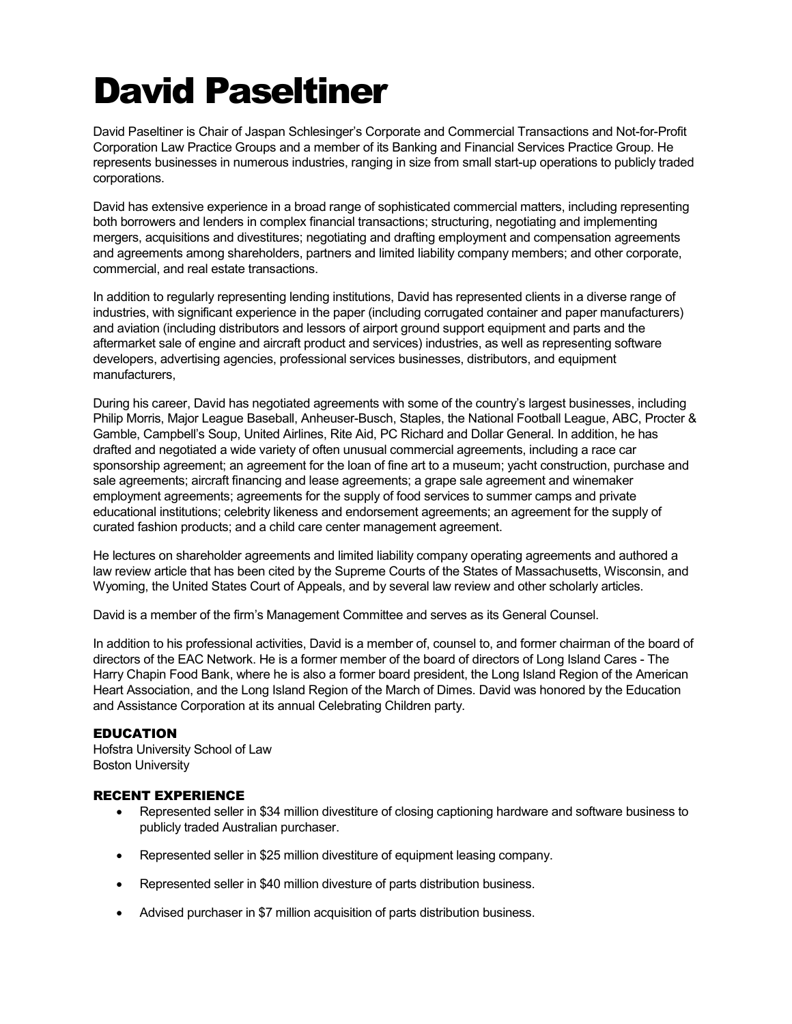# David Paseltiner

David Paseltiner is Chair of Jaspan Schlesinger's Corporate and Commercial Transactions and Not-for-Profit Corporation Law Practice Groups and a member of its Banking and Financial Services Practice Group. He represents businesses in numerous industries, ranging in size from small start-up operations to publicly traded corporations.

David has extensive experience in a broad range of sophisticated commercial matters, including representing both borrowers and lenders in complex financial transactions; structuring, negotiating and implementing mergers, acquisitions and divestitures; negotiating and drafting employment and compensation agreements and agreements among shareholders, partners and limited liability company members; and other corporate, commercial, and real estate transactions.

In addition to regularly representing lending institutions, David has represented clients in a diverse range of industries, with significant experience in the paper (including corrugated container and paper manufacturers) and aviation (including distributors and lessors of airport ground support equipment and parts and the aftermarket sale of engine and aircraft product and services) industries, as well as representing software developers, advertising agencies, professional services businesses, distributors, and equipment manufacturers,

During his career, David has negotiated agreements with some of the country's largest businesses, including Philip Morris, Major League Baseball, Anheuser-Busch, Staples, the National Football League, ABC, Procter & Gamble, Campbell's Soup, United Airlines, Rite Aid, PC Richard and Dollar General. In addition, he has drafted and negotiated a wide variety of often unusual commercial agreements, including a race car sponsorship agreement; an agreement for the loan of fine art to a museum; yacht construction, purchase and sale agreements; aircraft financing and lease agreements; a grape sale agreement and winemaker employment agreements; agreements for the supply of food services to summer camps and private educational institutions; celebrity likeness and endorsement agreements; an agreement for the supply of curated fashion products; and a child care center management agreement.

He lectures on shareholder agreements and limited liability company operating agreements and authored a law review article that has been cited by the Supreme Courts of the States of Massachusetts, Wisconsin, and Wyoming, the United States Court of Appeals, and by several law review and other scholarly articles.

David is a member of the firm's Management Committee and serves as its General Counsel.

In addition to his professional activities, David is a member of, counsel to, and former chairman of the board of directors of the EAC Network. He is a former member of the board of directors of Long Island Cares - The Harry Chapin Food Bank, where he is also a former board president, the Long Island Region of the American Heart Association, and the Long Island Region of the March of Dimes. David was honored by the Education and Assistance Corporation at its annual Celebrating Children party.

### EDUCATION

Hofstra University School of Law Boston University

# RECENT EXPERIENCE

- Represented seller in \$34 million divestiture of closing captioning hardware and software business to publicly traded Australian purchaser.
- Represented seller in \$25 million divestiture of equipment leasing company.
- Represented seller in \$40 million divesture of parts distribution business.
- Advised purchaser in \$7 million acquisition of parts distribution business.